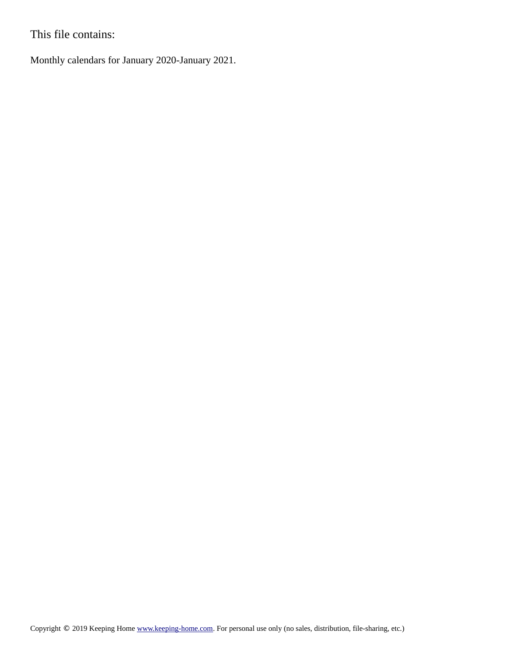This file contains:

Monthly calendars for January 2020-January 2021.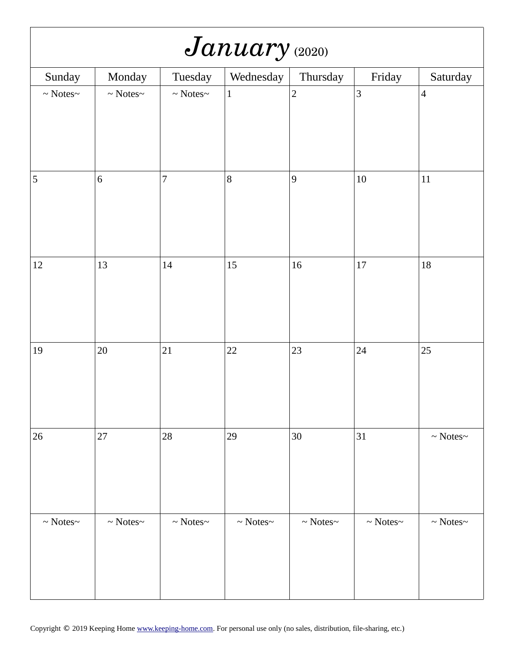| January (2020)         |                        |                        |                        |                        |                     |                        |  |  |
|------------------------|------------------------|------------------------|------------------------|------------------------|---------------------|------------------------|--|--|
| Sunday                 | Monday                 | Tuesday                | Wednesday              | Thursday               | Friday              | Saturday               |  |  |
| $\sim$ Notes<br>$\sim$ | $\sim$ Notes<br>$\sim$ | $\sim$ Notes<br>$\sim$ | $\mathbf{1}$           | $\overline{2}$         | $\mathbf{3}$        | $\overline{4}$         |  |  |
| 5                      | $\,6\,$                | $\overline{7}$         | $\, 8$                 | $\boldsymbol{9}$       | $10\,$              | $11\,$                 |  |  |
| $12\,$                 | 13                     | 14                     | 15                     | 16                     | 17                  | $18\,$                 |  |  |
| 19                     | 20                     | 21                     | 22                     | 23                     | 24                  | 25                     |  |  |
| 26                     | $27\,$                 | $28\,$                 | 29                     | $30\,$                 | 31                  | $\sim$ Notes $\sim$    |  |  |
| $\sim$ Notes<br>$\sim$ | $\sim$ Notes<br>$\sim$ | $\sim$ Notes<br>$\sim$ | $\sim$ Notes<br>$\sim$ | $\sim$ Notes<br>$\sim$ | $\sim$ Notes $\sim$ | $\sim$ Notes<br>$\sim$ |  |  |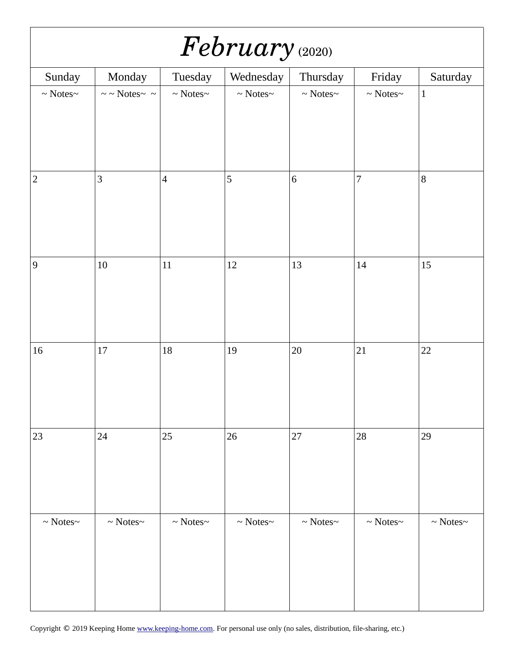| February (2020)        |                                      |                        |                        |                        |                        |                     |  |  |
|------------------------|--------------------------------------|------------------------|------------------------|------------------------|------------------------|---------------------|--|--|
| Sunday                 | Monday                               | Tuesday                | Wednesday              | Thursday               | Friday                 | Saturday            |  |  |
| $\sim$ Notes<br>$\sim$ | $\sim$ $\sim$ Notes<br>$\sim$ $\sim$ | $\sim$ Notes<br>$\sim$ | $\sim$ Notes $\sim$    | $\sim$ Notes<br>$\sim$ | $\sim$ Notes $\sim$    | $\mathbf 1$         |  |  |
| $\mathbf 2$            | 3                                    | $\overline{4}$         | 5                      | $\,6\,$                | $\boldsymbol{7}$       | $\, 8$              |  |  |
| $9\,$                  | $10\,$                               | $11\,$                 | 12                     | 13                     | $14\,$                 | 15                  |  |  |
| $16\,$                 | $17\,$                               | 18                     | 19                     | $20\,$                 | 21                     | 22                  |  |  |
| 23                     | 24                                   | 25                     | 26                     | 27                     | 28                     | 29                  |  |  |
| $\sim$ Notes<br>$\sim$ | $\sim$ Notes<br>$\sim$               | $\sim$ Notes<br>$\sim$ | $\sim$ Notes<br>$\sim$ | $\sim$ Notes<br>$\sim$ | $\sim$ Notes<br>$\sim$ | $\sim$ Notes $\sim$ |  |  |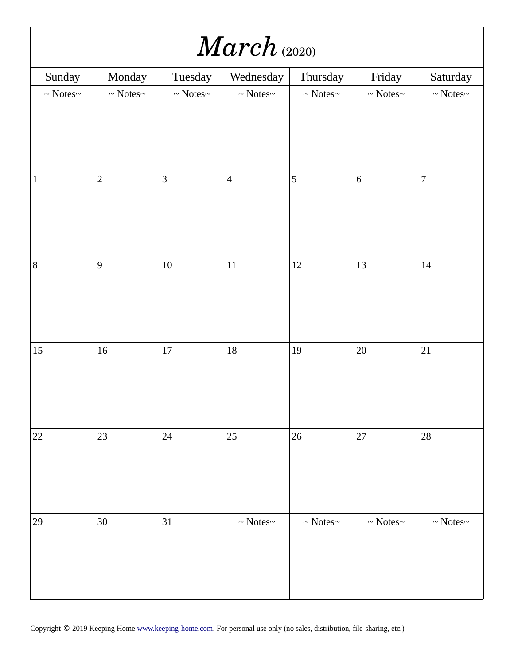| $\mathit{March}_{@0200}$ |                        |                     |                        |                        |                     |                        |  |  |
|--------------------------|------------------------|---------------------|------------------------|------------------------|---------------------|------------------------|--|--|
| Sunday                   | Monday                 | Tuesday             | Wednesday              | Thursday               | Friday              | Saturday               |  |  |
| $\sim$ Notes<br>$\sim$   | $\sim$ Notes<br>$\sim$ | $\sim$ Notes $\sim$ | $\sim$ Notes $\sim$    | $\sim$ Notes $\sim$    | $\sim$ Notes $\sim$ | $\sim$ Notes<br>$\sim$ |  |  |
|                          |                        |                     |                        |                        |                     |                        |  |  |
| $\mathbf{1}$             | $\overline{2}$         | 3                   | $\overline{4}$         | 5                      | $\,6\,$             | $\overline{7}$         |  |  |
| $\, 8$                   | $\overline{9}$         | $10\,$              | $11\,$                 | $12\,$                 | 13                  | 14                     |  |  |
| 15                       | 16                     | $17\,$              | 18                     | $19\,$                 | 20                  | 21                     |  |  |
| 22                       | 23                     | 24                  | 25                     | $26\,$                 | 27                  | $28\,$                 |  |  |
| 29                       | $30\,$                 | 31                  | $\sim$ Notes<br>$\sim$ | $\sim$ Notes<br>$\sim$ | $\sim$ Notes $\sim$ | $\sim$ Notes<br>$\sim$ |  |  |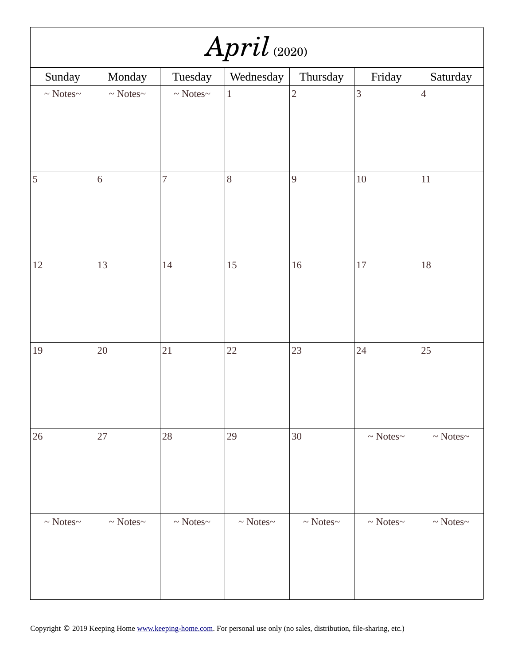| $April$ (2020)         |                        |                        |                        |                        |                        |                     |  |  |
|------------------------|------------------------|------------------------|------------------------|------------------------|------------------------|---------------------|--|--|
| Sunday                 | Monday                 | Tuesday                | Wednesday              | Thursday               | Friday                 | Saturday            |  |  |
| $\sim$ Notes<br>$\sim$ | $\sim$ Notes<br>$\sim$ | $\sim$ Notes $\sim$    | $\mathbf{1}$           | $\overline{2}$         | $\overline{3}$         | $\overline{4}$      |  |  |
|                        |                        |                        |                        |                        |                        |                     |  |  |
| 5                      | $6\,$                  | $\overline{7}$         | $\, 8$                 | 9                      | $10\,$                 | $11\,$              |  |  |
| $12\,$                 | 13                     | 14                     | 15                     | 16                     | $17\,$                 | $18\,$              |  |  |
| $19\,$                 | 20                     | 21                     | 22                     | 23                     | 24                     | 25                  |  |  |
| 26                     | 27                     | 28                     | 29                     | $30\,$                 | $\sim$ Notes<br>$\sim$ | $\sim$ Notes $\sim$ |  |  |
| $\sim$ Notes<br>$\sim$ | $\sim$ Notes<br>$\sim$ | $\sim$ Notes<br>$\sim$ | $\sim$ Notes<br>$\sim$ | $\sim$ Notes<br>$\sim$ | $\sim$ Notes<br>$\sim$ | $\sim$ Notes $\sim$ |  |  |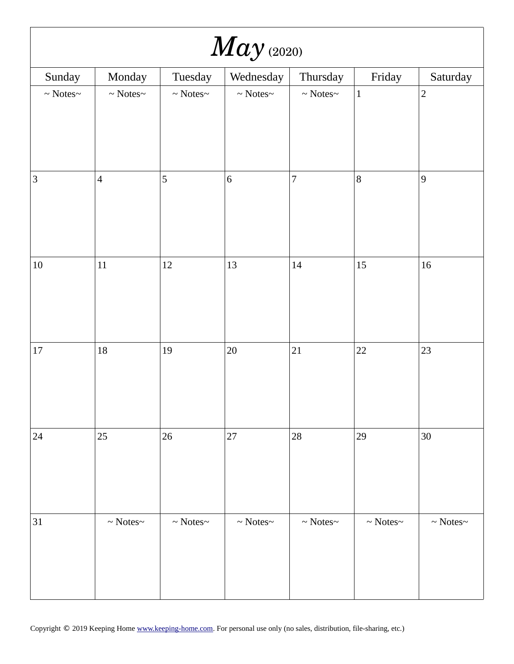|                     | $May$ (2020)           |                        |                        |                        |                     |                        |  |  |  |
|---------------------|------------------------|------------------------|------------------------|------------------------|---------------------|------------------------|--|--|--|
| Sunday              | Monday                 | Tuesday                | Wednesday              | Thursday               | Friday              | Saturday               |  |  |  |
| $\sim$ Notes $\sim$ | $\sim$ Notes<br>$\sim$ | $\sim$ Notes<br>$\sim$ | $\sim$ Notes $\sim$    | $\sim$ Notes<br>$\sim$ | $\mathbf 1$         | $\overline{2}$         |  |  |  |
| $\mathbf{3}$        | $\overline{4}$         | 5                      | $\,6\,$                | $\overline{7}$         | $\, 8$              | $\overline{9}$         |  |  |  |
| $10\,$              | $11\,$                 | 12                     | 13                     | 14                     | 15                  | 16                     |  |  |  |
| $17\,$              | $18\,$                 | 19                     | $20\,$                 | 21                     | 22                  | 23                     |  |  |  |
| 24                  | 25                     | $26\,$                 | $27\,$                 | 28                     | 29                  | $30\,$                 |  |  |  |
| 31                  | $\sim$ Notes<br>$\sim$ | $\sim$ Notes<br>$\sim$ | $\sim$ Notes<br>$\sim$ | $\sim$ Notes<br>$\sim$ | $\sim$ Notes $\sim$ | $\sim$ Notes<br>$\sim$ |  |  |  |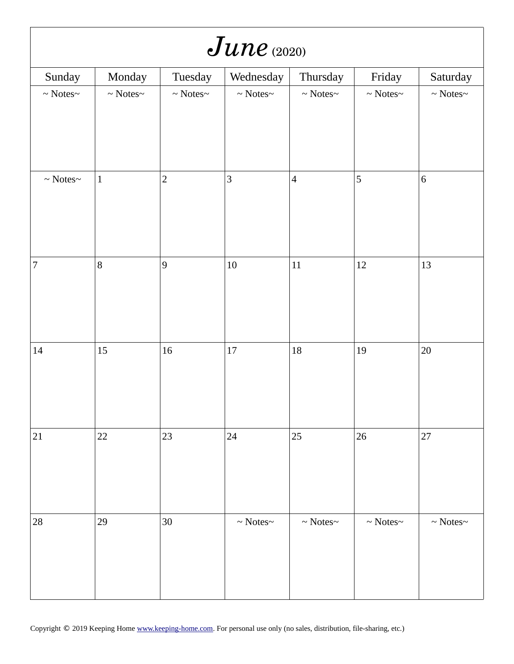| $June$ (2020)          |                        |                     |                        |                        |                     |                        |  |  |
|------------------------|------------------------|---------------------|------------------------|------------------------|---------------------|------------------------|--|--|
| Sunday                 | Monday                 | Tuesday             | Wednesday              | Thursday               | Friday              | Saturday               |  |  |
| $\sim$ Notes<br>$\sim$ | $\sim$ Notes<br>$\sim$ | $\sim$ Notes $\sim$ | $\sim$ Notes<br>$\sim$ | $\sim$ Notes<br>$\sim$ | $\sim$ Notes $\sim$ | $\sim$ Notes<br>$\sim$ |  |  |
|                        |                        |                     |                        |                        |                     |                        |  |  |
| $\sim$ Notes<br>$\sim$ | $\mathbf 1$            | $\overline{2}$      | 3                      | $\overline{4}$         | 5                   | $\,6\,$                |  |  |
| $\overline{7}$         | $\, 8$                 | 9                   | $10\,$                 | $11\,$                 | $12\,$              | 13                     |  |  |
| $14\,$                 | 15                     | $16\,$              | $17\,$                 | $18\,$                 | 19                  | $20\,$                 |  |  |
| 21                     | 22                     | 23                  | 24                     | 25                     | 26                  | 27                     |  |  |
| 28                     | 29                     | $30\,$              | $\sim$ Notes<br>$\sim$ | $\sim$ Notes<br>$\sim$ | $\sim$ Notes $\sim$ | $\sim$ Notes<br>$\sim$ |  |  |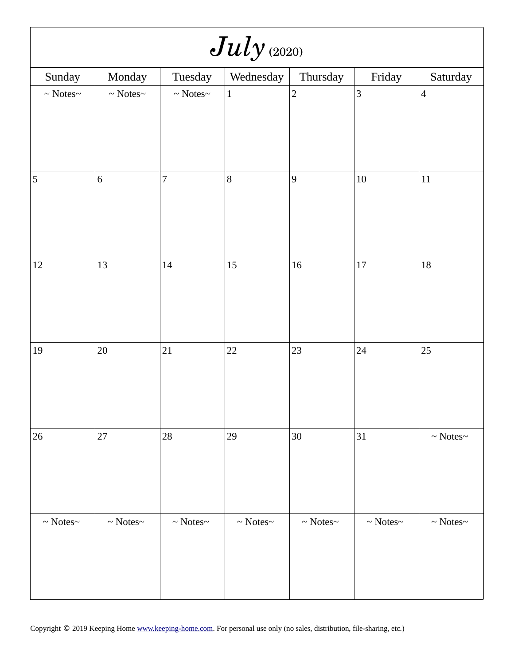| $July$ (2020)          |                        |                        |                        |                        |                        |                        |  |  |
|------------------------|------------------------|------------------------|------------------------|------------------------|------------------------|------------------------|--|--|
| Sunday                 | Monday                 | Tuesday                | Wednesday              | Thursday               | Friday                 | Saturday               |  |  |
| $\sim$ Notes<br>$\sim$ | $\sim$ Notes<br>$\sim$ | $\sim$ Notes<br>$\sim$ | $\mathbf 1$            | $\overline{2}$         | 3                      | $\overline{4}$         |  |  |
|                        |                        |                        |                        |                        |                        |                        |  |  |
| 5                      | $\,6\,$                | $\overline{7}$         | 8                      | 9                      | $10\,$                 | $11\,$                 |  |  |
| $12\,$                 | 13                     | $14\,$                 | 15                     | 16                     | $17\,$                 | 18                     |  |  |
| $19\,$                 | 20                     | 21                     | 22                     | 23                     | 24                     | 25                     |  |  |
| 26                     | $27\,$                 | $28\,$                 | 29                     | $30\,$                 | 31                     | $\sim$ Notes<br>$\sim$ |  |  |
| $\sim$ Notes<br>$\sim$ | $\sim$ Notes<br>$\sim$ | $\sim$ Notes<br>$\sim$ | $\sim$ Notes<br>$\sim$ | $\sim$ Notes<br>$\sim$ | $\sim$ Notes<br>$\sim$ | $\sim$ Notes<br>$\sim$ |  |  |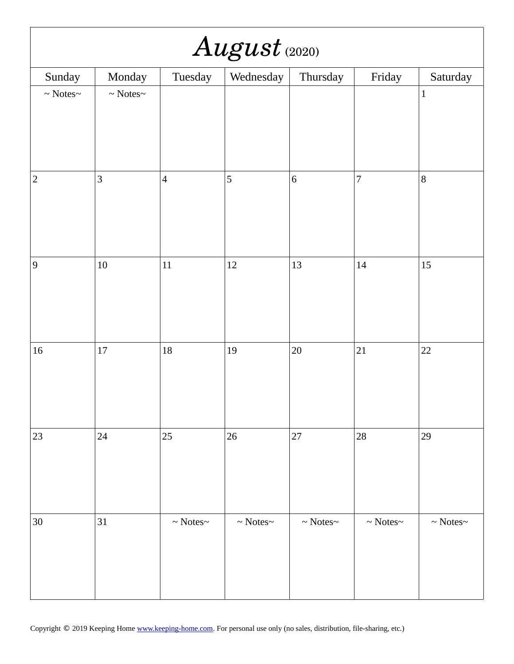| $August$ (2020)        |                        |                        |                        |                        |                        |                        |  |  |
|------------------------|------------------------|------------------------|------------------------|------------------------|------------------------|------------------------|--|--|
| Sunday                 | Monday                 | Tuesday                | Wednesday              | Thursday               | Friday                 | Saturday               |  |  |
| $\sim$ Notes<br>$\sim$ | $\sim$ Notes<br>$\sim$ |                        |                        |                        |                        | $\mathbf 1$            |  |  |
| $\overline{2}$         | $\mathbf{3}$           | $\overline{4}$         | 5                      | $\,6\,$                | $\boldsymbol{7}$       | $\bf{8}$               |  |  |
| $\boldsymbol{9}$       | $10\,$                 | $11\,$                 | 12                     | 13                     | $14\,$                 | 15                     |  |  |
| $16\,$                 | $17\,$                 | $18\,$                 | 19                     | $20\,$                 | 21                     | 22                     |  |  |
| 23                     | 24                     | 25                     | 26                     | 27                     | $28\,$                 | 29                     |  |  |
| $30\,$                 | 31                     | $\sim$ Notes<br>$\sim$ | $\sim$ Notes<br>$\sim$ | $\sim$ Notes<br>$\sim$ | $\sim$ Notes<br>$\sim$ | $\sim$ Notes<br>$\sim$ |  |  |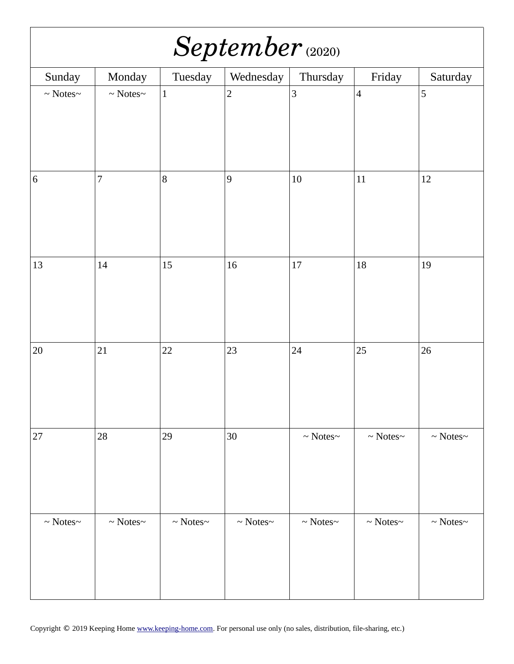| September (2020)       |                        |                        |                        |                        |                        |                     |  |  |
|------------------------|------------------------|------------------------|------------------------|------------------------|------------------------|---------------------|--|--|
| Sunday                 | Monday                 | Tuesday                | Wednesday              | Thursday               | Friday                 | Saturday            |  |  |
| $\sim$ Notes<br>$\sim$ | $\sim$ Notes<br>$\sim$ | $\mathbf{1}$           | $\overline{2}$         | 3                      | $\overline{4}$         | 5                   |  |  |
| $\,6\,$                | $\overline{7}$         | $\, 8$                 | $\boldsymbol{9}$       | $10\,$                 | $11\,$                 | 12                  |  |  |
| 13                     | 14                     | 15                     | 16                     | $17\,$                 | 18                     | 19                  |  |  |
| $20\,$                 | 21                     | 22                     | 23                     | 24                     | 25                     | 26                  |  |  |
| 27                     | 28                     | 29                     | 30                     | $\sim$ Notes<br>$\sim$ | $\sim$ Notes<br>$\sim$ | $\sim$ Notes $\sim$ |  |  |
| $\sim$ Notes<br>$\sim$ | $\sim$ Notes<br>$\sim$ | $\sim$ Notes<br>$\sim$ | $\sim$ Notes<br>$\sim$ | $\sim$ Notes<br>$\sim$ | $\sim$ Notes $\sim$    | $\sim$ Notes $\sim$ |  |  |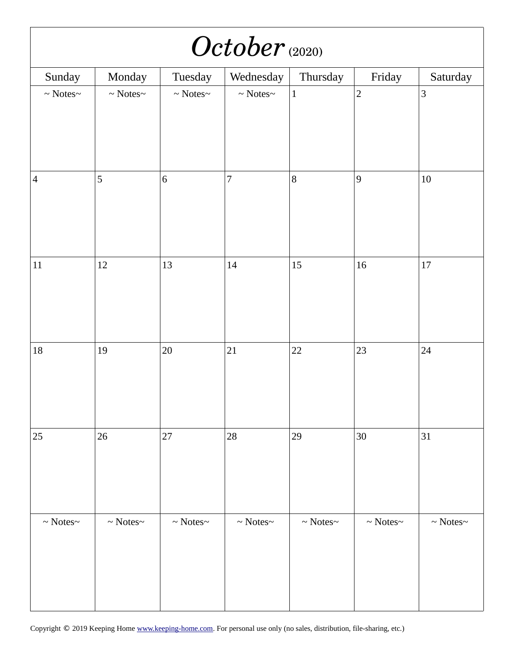| October (2020)         |                        |                        |                        |                        |                        |                        |  |  |
|------------------------|------------------------|------------------------|------------------------|------------------------|------------------------|------------------------|--|--|
| Sunday                 | Monday                 | Tuesday                | Wednesday              | Thursday               | Friday                 | Saturday               |  |  |
| $\sim$ Notes<br>$\sim$ | $\sim$ Notes<br>$\sim$ | $\sim$ Notes<br>$\sim$ | $\sim$ Notes<br>$\sim$ | $\mathbf 1$            | $\overline{2}$         | $\mathbf{3}$           |  |  |
| $\overline{4}$         | 5                      | $\,6\,$                | $\overline{7}$         | $\, 8$                 | $\boldsymbol{9}$       | $10\,$                 |  |  |
| $11\,$                 | $12\,$                 | 13                     | 14                     | 15                     | 16                     | $17\,$                 |  |  |
| $18\,$                 | 19                     | $20\,$                 | 21                     | 22                     | 23                     | 24                     |  |  |
| 25                     | 26                     | 27                     | 28                     | 29                     | $30\,$                 | 31                     |  |  |
| $\sim$ Notes<br>$\sim$ | $\sim$ Notes<br>$\sim$ | $\sim$ Notes $\sim$    | $\sim$ Notes<br>$\sim$ | $\sim$ Notes<br>$\sim$ | $\sim$ Notes<br>$\sim$ | $\sim$ Notes<br>$\sim$ |  |  |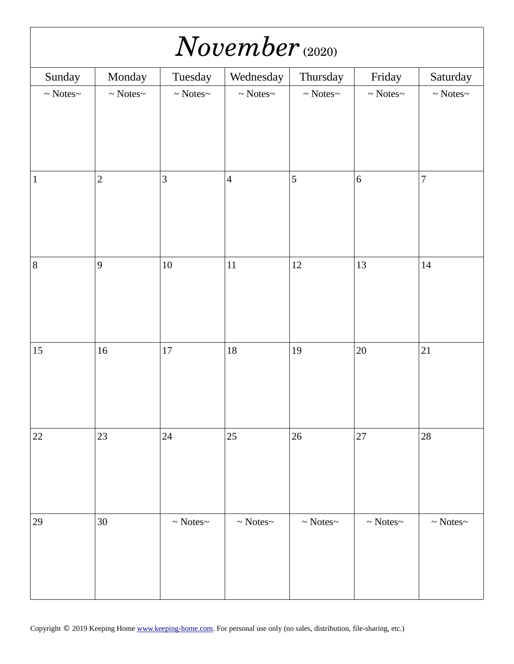| $November_{(2020)}$    |                     |                     |                     |                        |                     |                        |  |  |
|------------------------|---------------------|---------------------|---------------------|------------------------|---------------------|------------------------|--|--|
| Sunday                 | Monday              | Tuesday             | Wednesday           | Thursday               | Friday              | Saturday               |  |  |
| $\sim$ Notes<br>$\sim$ | $\sim$ Notes $\sim$ | $\sim$ Notes $\sim$ | $\sim$ Notes $\sim$ | $\sim$ Notes $\sim$    | $\sim$ Notes $\sim$ | $\sim$ Notes<br>$\sim$ |  |  |
|                        |                     |                     |                     |                        |                     |                        |  |  |
| $\mathbf{1}$           | $\overline{2}$      | $\mathbf{3}$        | $\overline{4}$      | 5                      | $\,6\,$             | $\overline{7}$         |  |  |
| $\, 8$                 | $\overline{9}$      | $10\,$              | $11\,$              | 12                     | 13                  | 14                     |  |  |
| $15\,$                 | $16\,$              | $17\,$              | $18\,$              | 19                     | $20\,$              | 21                     |  |  |
| 22                     | 23                  | 24                  | 25                  | $26\,$                 | $27\,$              | 28                     |  |  |
| 29                     | $30\,$              | $\sim$ Notes $\sim$ | $\sim$ Notes $\sim$ | $\sim$ Notes<br>$\sim$ | $\sim$ Notes $\sim$ | $\sim$ Notes $\sim$    |  |  |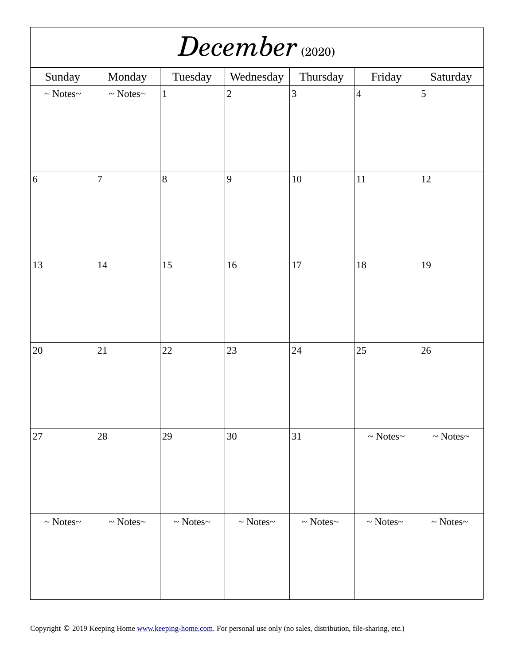| $December$ <sub>(2020)</sub> |                        |                        |                        |                        |                        |                        |  |  |
|------------------------------|------------------------|------------------------|------------------------|------------------------|------------------------|------------------------|--|--|
| Sunday                       | Monday                 | Tuesday                | Wednesday              | Thursday               | Friday                 | Saturday               |  |  |
| $\sim$ Notes<br>$\sim$       | $\sim$ Notes<br>$\sim$ | $\mathbf 1$            | $\overline{2}$         | $\overline{3}$         | $\overline{4}$         | 5                      |  |  |
| $\,6\,$                      | $\overline{7}$         | $\, 8$                 | $\overline{9}$         | $10\,$                 | $11\,$                 | 12                     |  |  |
| 13                           | 14                     | 15                     | 16                     | 17                     | $18\,$                 | 19                     |  |  |
| $20\,$                       | 21                     | 22                     | 23                     | 24                     | 25                     | 26                     |  |  |
| 27                           | 28                     | 29                     | $30\,$                 | $31\,$                 | $\sim$ Notes<br>$\sim$ | $\sim$ Notes<br>$\sim$ |  |  |
| $\sim$ Notes<br>$\sim$       | $\sim$ Notes<br>$\sim$ | $\sim$ Notes<br>$\sim$ | $\sim$ Notes<br>$\sim$ | $\sim$ Notes<br>$\sim$ | $\sim$ Notes<br>$\sim$ | $\sim$ Notes<br>$\sim$ |  |  |